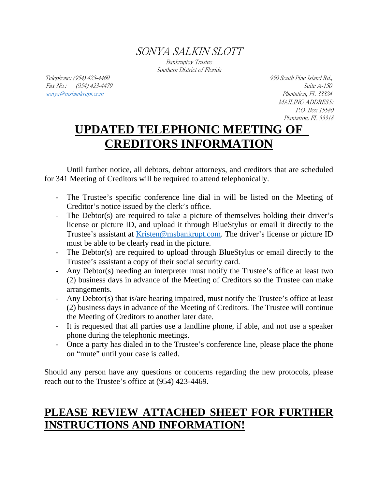SONYA SALKIN SLOTT

Bankruptcy Trustee Southern District of Florida

Telephone: (954) 423-4469 950 South Pine Island Rd., Fax No.: (954) 423-4479 Suite A-150 sonya@msbankrupt.com Plantation, FL 33324

MAILING ADDRESS: P.O. Box 15580 Plantation, FL 33318

# **UPDATED TELEPHONIC MEETING OF CREDITORS INFORMATION**

Until further notice, all debtors, debtor attorneys, and creditors that are scheduled for 341 Meeting of Creditors will be required to attend telephonically.

- The Trustee's specific conference line dial in will be listed on the Meeting of Creditor's notice issued by the clerk's office.
- The Debtor(s) are required to take a picture of themselves holding their driver's license or picture ID, and upload it through BlueStylus or email it directly to the Trustee's assistant at Kristen@msbankrupt.com. The driver's license or picture ID must be able to be clearly read in the picture.
- The Debtor(s) are required to upload through BlueStylus or email directly to the Trustee's assistant a copy of their social security card.
- Any Debtor(s) needing an interpreter must notify the Trustee's office at least two (2) business days in advance of the Meeting of Creditors so the Trustee can make arrangements.
- Any Debtor(s) that is/are hearing impaired, must notify the Trustee's office at least (2) business days in advance of the Meeting of Creditors. The Trustee will continue the Meeting of Creditors to another later date.
- It is requested that all parties use a landline phone, if able, and not use a speaker phone during the telephonic meetings.
- Once a party has dialed in to the Trustee's conference line, please place the phone on "mute" until your case is called.

Should any person have any questions or concerns regarding the new protocols, please reach out to the Trustee's office at (954) 423-4469.

## **PLEASE REVIEW ATTACHED SHEET FOR FURTHER INSTRUCTIONS AND INFORMATION!**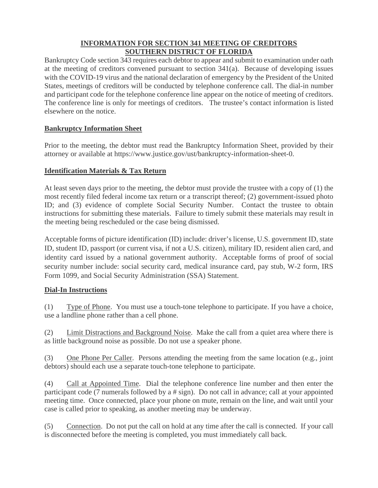#### **INFORMATION FOR SECTION 341 MEETING OF CREDITORS SOUTHERN DISTRICT OF FLORIDA**

Bankruptcy Code section 343 requires each debtor to appear and submit to examination under oath at the meeting of creditors convened pursuant to section 341(a). Because of developing issues with the COVID-19 virus and the national declaration of emergency by the President of the United States, meetings of creditors will be conducted by telephone conference call. The dial-in number and participant code for the telephone conference line appear on the notice of meeting of creditors. The conference line is only for meetings of creditors. The trustee's contact information is listed elsewhere on the notice.

### **Bankruptcy Information Sheet**

Prior to the meeting, the debtor must read the Bankruptcy Information Sheet, provided by their attorney or available at https://www.justice.gov/ust/bankruptcy-information-sheet-0.

#### **Identification Materials & Tax Return**

At least seven days prior to the meeting, the debtor must provide the trustee with a copy of (1) the most recently filed federal income tax return or a transcript thereof; (2) government-issued photo ID; and (3) evidence of complete Social Security Number. Contact the trustee to obtain instructions for submitting these materials. Failure to timely submit these materials may result in the meeting being rescheduled or the case being dismissed.

Acceptable forms of picture identification (ID) include: driver's license, U.S. government ID, state ID, student ID, passport (or current visa, if not a U.S. citizen), military ID, resident alien card, and identity card issued by a national government authority. Acceptable forms of proof of social security number include: social security card, medical insurance card, pay stub, W-2 form, IRS Form 1099, and Social Security Administration (SSA) Statement.

#### **Dial-In Instructions**

(1) Type of Phone. You must use a touch-tone telephone to participate. If you have a choice, use a landline phone rather than a cell phone.

(2) Limit Distractions and Background Noise. Make the call from a quiet area where there is as little background noise as possible. Do not use a speaker phone.

(3) One Phone Per Caller. Persons attending the meeting from the same location (e.g., joint debtors) should each use a separate touch-tone telephone to participate.

(4) Call at Appointed Time. Dial the telephone conference line number and then enter the participant code (7 numerals followed by a # sign). Do not call in advance; call at your appointed meeting time. Once connected, place your phone on mute, remain on the line, and wait until your case is called prior to speaking, as another meeting may be underway.

(5) Connection. Do not put the call on hold at any time after the call is connected. If your call is disconnected before the meeting is completed, you must immediately call back.